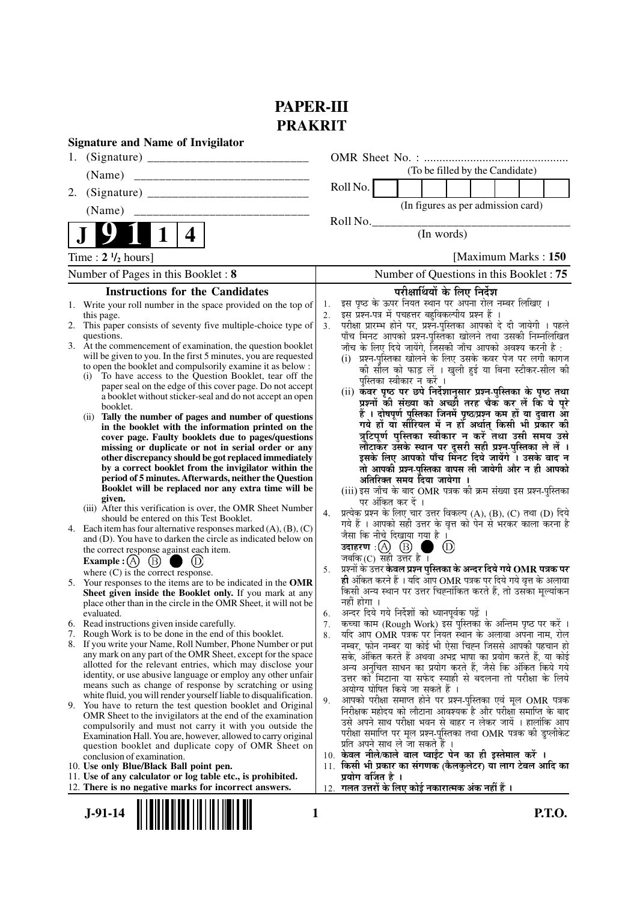## **PAPER-III PRAKRIT**

| <b>Signature and Name of Invigilator</b>                                                                                                                                                                                                                                                                                                                                                                                                                                                                                                                                                                                                                                                                                                                                                                                                                                                                                                                                                                                                                                                                                                                                                                                                                                                                                                                                                                                                                                                                                                                                                                                                                                         |                                                                                                                                                                                                                                                                                                                                                                                                                                                                                                                                                                                                                                                                                                                                                                                                                                                                                                                                                                                                                                                                                                                                                                                                                                                                                                                                                                                                                                                                                                                                                                                                                                             |
|----------------------------------------------------------------------------------------------------------------------------------------------------------------------------------------------------------------------------------------------------------------------------------------------------------------------------------------------------------------------------------------------------------------------------------------------------------------------------------------------------------------------------------------------------------------------------------------------------------------------------------------------------------------------------------------------------------------------------------------------------------------------------------------------------------------------------------------------------------------------------------------------------------------------------------------------------------------------------------------------------------------------------------------------------------------------------------------------------------------------------------------------------------------------------------------------------------------------------------------------------------------------------------------------------------------------------------------------------------------------------------------------------------------------------------------------------------------------------------------------------------------------------------------------------------------------------------------------------------------------------------------------------------------------------------|---------------------------------------------------------------------------------------------------------------------------------------------------------------------------------------------------------------------------------------------------------------------------------------------------------------------------------------------------------------------------------------------------------------------------------------------------------------------------------------------------------------------------------------------------------------------------------------------------------------------------------------------------------------------------------------------------------------------------------------------------------------------------------------------------------------------------------------------------------------------------------------------------------------------------------------------------------------------------------------------------------------------------------------------------------------------------------------------------------------------------------------------------------------------------------------------------------------------------------------------------------------------------------------------------------------------------------------------------------------------------------------------------------------------------------------------------------------------------------------------------------------------------------------------------------------------------------------------------------------------------------------------|
| 1.                                                                                                                                                                                                                                                                                                                                                                                                                                                                                                                                                                                                                                                                                                                                                                                                                                                                                                                                                                                                                                                                                                                                                                                                                                                                                                                                                                                                                                                                                                                                                                                                                                                                               |                                                                                                                                                                                                                                                                                                                                                                                                                                                                                                                                                                                                                                                                                                                                                                                                                                                                                                                                                                                                                                                                                                                                                                                                                                                                                                                                                                                                                                                                                                                                                                                                                                             |
| (Name)                                                                                                                                                                                                                                                                                                                                                                                                                                                                                                                                                                                                                                                                                                                                                                                                                                                                                                                                                                                                                                                                                                                                                                                                                                                                                                                                                                                                                                                                                                                                                                                                                                                                           | (To be filled by the Candidate)                                                                                                                                                                                                                                                                                                                                                                                                                                                                                                                                                                                                                                                                                                                                                                                                                                                                                                                                                                                                                                                                                                                                                                                                                                                                                                                                                                                                                                                                                                                                                                                                             |
| 2.                                                                                                                                                                                                                                                                                                                                                                                                                                                                                                                                                                                                                                                                                                                                                                                                                                                                                                                                                                                                                                                                                                                                                                                                                                                                                                                                                                                                                                                                                                                                                                                                                                                                               | Roll No.                                                                                                                                                                                                                                                                                                                                                                                                                                                                                                                                                                                                                                                                                                                                                                                                                                                                                                                                                                                                                                                                                                                                                                                                                                                                                                                                                                                                                                                                                                                                                                                                                                    |
| (Name)                                                                                                                                                                                                                                                                                                                                                                                                                                                                                                                                                                                                                                                                                                                                                                                                                                                                                                                                                                                                                                                                                                                                                                                                                                                                                                                                                                                                                                                                                                                                                                                                                                                                           | (In figures as per admission card)                                                                                                                                                                                                                                                                                                                                                                                                                                                                                                                                                                                                                                                                                                                                                                                                                                                                                                                                                                                                                                                                                                                                                                                                                                                                                                                                                                                                                                                                                                                                                                                                          |
| 4                                                                                                                                                                                                                                                                                                                                                                                                                                                                                                                                                                                                                                                                                                                                                                                                                                                                                                                                                                                                                                                                                                                                                                                                                                                                                                                                                                                                                                                                                                                                                                                                                                                                                | Roll No.<br>(In words)                                                                                                                                                                                                                                                                                                                                                                                                                                                                                                                                                                                                                                                                                                                                                                                                                                                                                                                                                                                                                                                                                                                                                                                                                                                                                                                                                                                                                                                                                                                                                                                                                      |
| Time : $2 \frac{1}{2}$ hours]                                                                                                                                                                                                                                                                                                                                                                                                                                                                                                                                                                                                                                                                                                                                                                                                                                                                                                                                                                                                                                                                                                                                                                                                                                                                                                                                                                                                                                                                                                                                                                                                                                                    | [Maximum Marks: 150]                                                                                                                                                                                                                                                                                                                                                                                                                                                                                                                                                                                                                                                                                                                                                                                                                                                                                                                                                                                                                                                                                                                                                                                                                                                                                                                                                                                                                                                                                                                                                                                                                        |
| Number of Pages in this Booklet: 8                                                                                                                                                                                                                                                                                                                                                                                                                                                                                                                                                                                                                                                                                                                                                                                                                                                                                                                                                                                                                                                                                                                                                                                                                                                                                                                                                                                                                                                                                                                                                                                                                                               | Number of Questions in this Booklet: 75                                                                                                                                                                                                                                                                                                                                                                                                                                                                                                                                                                                                                                                                                                                                                                                                                                                                                                                                                                                                                                                                                                                                                                                                                                                                                                                                                                                                                                                                                                                                                                                                     |
| <b>Instructions for the Candidates</b>                                                                                                                                                                                                                                                                                                                                                                                                                                                                                                                                                                                                                                                                                                                                                                                                                                                                                                                                                                                                                                                                                                                                                                                                                                                                                                                                                                                                                                                                                                                                                                                                                                           | परीक्षार्थियों के लिए निर्देश                                                                                                                                                                                                                                                                                                                                                                                                                                                                                                                                                                                                                                                                                                                                                                                                                                                                                                                                                                                                                                                                                                                                                                                                                                                                                                                                                                                                                                                                                                                                                                                                               |
| 1. Write your roll number in the space provided on the top of<br>this page.<br>2. This paper consists of seventy five multiple-choice type of<br>questions.<br>3. At the commencement of examination, the question booklet<br>will be given to you. In the first 5 minutes, you are requested<br>to open the booklet and compulsorily examine it as below :<br>To have access to the Question Booklet, tear off the<br>(i)<br>paper seal on the edge of this cover page. Do not accept<br>a booklet without sticker-seal and do not accept an open<br>booklet.<br>(ii) Tally the number of pages and number of questions<br>in the booklet with the information printed on the<br>cover page. Faulty booklets due to pages/questions<br>missing or duplicate or not in serial order or any<br>other discrepancy should be got replaced immediately<br>by a correct booklet from the invigilator within the<br>period of 5 minutes. Afterwards, neither the Question                                                                                                                                                                                                                                                                                                                                                                                                                                                                                                                                                                                                                                                                                                              | इस पृष्ठ के ऊपर नियत स्थान पर अपना रोल नम्बर लिखिए ।<br>1.<br>इस प्रश्न-पत्र में पचहत्तर बहुविकल्पीय प्रश्न हैं ।<br>2.<br>परीक्षा प्रारम्भ होने पर, प्रश्नॅ-पुस्तिका आपको दे दी जायेगी । पहले<br>पाँच मिनट आपको प्रश्न-पुस्तिका खोलने तथा उसकी निम्नलिखित<br>3 <sub>1</sub><br>जाँच के लिए दिये जायेंगे, जिसकी जाँच आपको अवश्य करनी है :<br>(i) प्रश्न-पुस्तिका खोलने के लिए उसके कवर पेज पर लगी कागज<br>की सील को फाड़ लें । खुली हुई या बिना स्टीकर-सील की<br>पुस्तिका स्वीकार न करें ।<br>(ii) कवर पृष्ठ पर छपे निर्देशानुसार प्रश्न-पुस्तिका के पृष्ठ तथा<br>प्रश्नों की संख्या को अच्छी तरह चैक कर लें कि ये पूरे<br>हैं । दोषपूर्ण पुस्तिका जिनमें पृष्ठ/प्रश्न कम हों या दुबारा आ<br>गये हों या सीरियल में न हों अर्थात् किसी भी प्रॅकार की<br>त्रुटिपूर्ण पुस्तिका स्वीकार न करें तथा उसी समय उसे<br>लौटाकर उसके स्थान पर दूसरी सही प्रश्न-पुस्तिका ले लें ।<br>इसके लिए आपको पाँच मिनट दिये जायेंगे । उसके बाद न<br>तो आपकी प्रश्न-पुस्तिका वापस ली जायेगी और न ही आपको<br>अतिरिक्त समय दिया जायेगा ।                                                                                                                                                                                                                                                                                                                                                                                                                                                                                                                                                                                                                             |
| Booklet will be replaced nor any extra time will be<br>given.<br>(iii) After this verification is over, the OMR Sheet Number<br>should be entered on this Test Booklet.<br>4. Each item has four alternative responses marked $(A)$ , $(B)$ , $(C)$<br>and (D). You have to darken the circle as indicated below on<br>the correct response against each item.<br>(B)<br>Example : $(A)$<br>where $(C)$ is the correct response.<br>5. Your responses to the items are to be indicated in the OMR<br>Sheet given inside the Booklet only. If you mark at any<br>place other than in the circle in the OMR Sheet, it will not be<br>evaluated.<br>Read instructions given inside carefully.<br>6.<br>Rough Work is to be done in the end of this booklet.<br>7.<br>8. If you write your Name, Roll Number, Phone Number or put<br>any mark on any part of the OMR Sheet, except for the space<br>allotted for the relevant entries, which may disclose your<br>identity, or use abusive language or employ any other unfair<br>means such as change of response by scratching or using<br>white fluid, you will render yourself liable to disqualification.<br>9.<br>You have to return the test question booklet and Original<br>OMR Sheet to the invigilators at the end of the examination<br>compulsorily and must not carry it with you outside the<br>Examination Hall. You are, however, allowed to carry original<br>question booklet and duplicate copy of OMR Sheet on<br>conclusion of examination.<br>10. Use only Blue/Black Ball point pen.<br>11. Use of any calculator or log table etc., is prohibited.<br>12. There is no negative marks for incorrect answers. | (iii) इस जाँच के बाद OMR पत्रक की क्रम संख्या इस प्रश्न-पुस्तिका<br>पर अंकित कर दें ।<br>प्रत्येक प्रश्न के लिए चार उत्तर विकल्प (A), (B), (C) तथा (D) दिये<br>4.<br>गये हैं । आपको सही उत्तर के वृत्त को पेन से भरकर काला करना है<br>जैसा कि नीचे दिखाया गया है ।<br>उदाहरण $\cdot$ (A) $\left(\text{B}\right)$<br>$^{\textcircled{\tiny d}}$<br>जबकि (C) सही उत्तर है $\overline{1}$<br>प्रश्नों के उत्तर केवल प्रश्न पुस्तिका के अन्दर दिये गये OMR पत्रक पर<br>5.<br>ही अंकित करने हैं । यदि आप OMR पत्रक पर दिये गये वृत्त के अलावा<br>किसी अन्य स्थान पर उत्तर चिह्नांकित करते हैं, तो उसका मूल्यांकन<br>नहीं होगा ।<br>अन्दर दिये गये निर्देशों को ध्यानपूर्वक पढ़ें ।<br>6.<br>कच्चा काम (Rough Work) इस पुस्तिका के अन्तिम पृष्ठ पर करें ।<br>7.<br>यदि आप OMR पत्रक पर नियत स्थान के अलावा अपना नाम, रोल<br>8.<br>नम्बर, फोन नम्बर या कोई भी ऐसा चिह्न जिससे आपकी पहचान हो<br>सके, अंकित करते हैं अथवा अभद्र भाषा का प्रयोग करते हैं, या कोई<br>अन्य अनुचित साधन का प्रयोग करते हैं, जैसे कि अंकित किये गये<br>उत्तर को मिटाना या सफेद स्याही से बदलना तो परीक्षा के लिये<br>अयोग्य घोषित किये जा सकते हैं ।<br>आपको परीक्षा समाप्त होने पर प्रश्न-पुस्तिका एवं मूल OMR पत्रक<br>9.<br>निरीक्षक महोदय को लौटाना आवश्यक है और परीक्षा समाप्ति के बाद<br>उसे अपने साथ परीक्षा भवन से बाहर न लेकर जायें । हालांकि आप<br>परीक्षा समाप्ति पर मूल प्रश्न-पुस्तिका तथा OMR पत्रक की डुप्लीकेट<br>प्रति अपने साथ ले जा सकते हैं ।<br>10. केवल नीले/काले बाल प्वाईंट पेन का ही इस्तेमाल करें ।<br>11. किसी भी प्रकार का संगणक (कैलकुलेटर) या लाग टेबल आदि का<br>प्रयोग वर्जित है ।<br>12.  गलत उत्तरों के लिए कोई नकारात्मक अंक नहीं हैं । |
| $J-91-14$<br>1                                                                                                                                                                                                                                                                                                                                                                                                                                                                                                                                                                                                                                                                                                                                                                                                                                                                                                                                                                                                                                                                                                                                                                                                                                                                                                                                                                                                                                                                                                                                                                                                                                                                   | <b>P.T.O.</b>                                                                                                                                                                                                                                                                                                                                                                                                                                                                                                                                                                                                                                                                                                                                                                                                                                                                                                                                                                                                                                                                                                                                                                                                                                                                                                                                                                                                                                                                                                                                                                                                                               |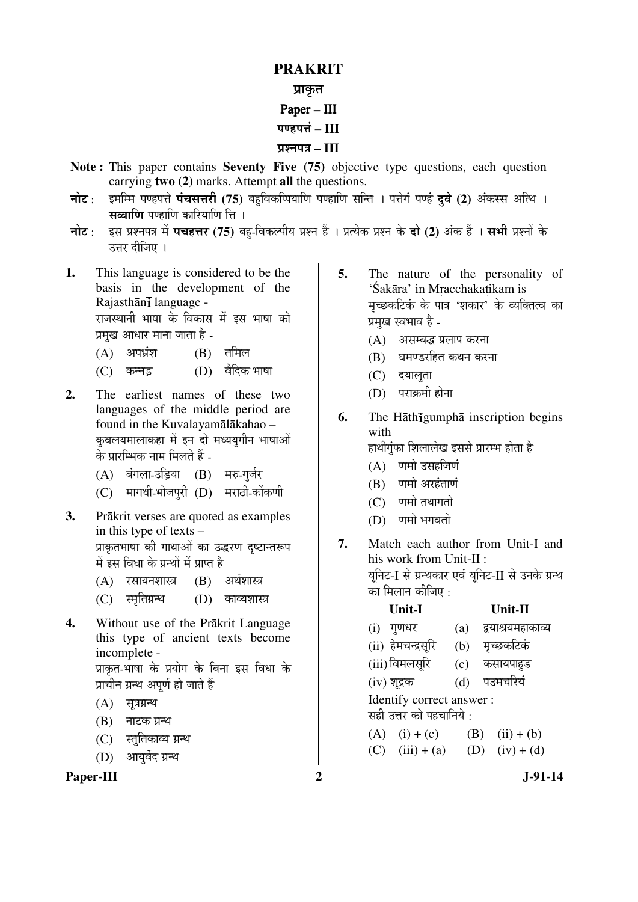## **PRAKRIT**  प्राकृत Paper **–** III पण्हपत्तं – III ¯ÖÏ¿®Ö¯Ö¡Ö **– III**

- **Note :** This paper contains **Seventy Five (75)** objective type questions, each question carrying **two (2)** marks. Attempt **all** the questions.
- **नोट**: इमम्मि पण्हपत्ते **पंचसत्तरी (75)** बहविकप्पियाणि पण्हाणि सन्ति । पत्तेगं पण्हं दवे (2) अंकस्स अत्थि । स**ळाणि** पण्हाणि कारियाणि ति ।
- **नोट**: इस प्रश्नपत्र में **पचहत्तर (75)** बह-विकल्पीय प्रश्न हैं । प्रत्येक प्रश्न के **दो (2)** अंक हैं । सभी प्रश्नों के उत्तर दीजिए ।
- **1.** This language is considered to be the basis in the development of the Rajasthān**i** language -राजस्थानी भाषा के विकास में इस भाषा को प्रमख आधार माना जाता है -
	- $(A)$  अपभ्रंश  $(B)$  तमिल
	- (C) कन्नड (D) वैदिक भाषा
- **2.** The earliest names of these two languages of the middle period are found in the Kuvalayamālākahao – कवलयमालाकहा में इन दो मध्ययगीन भाषाओं के प्रारम्भिक नाम मिलते हैं -
	- (A) बंगला-उड़िया (B) मरु-गुर्जर
	- $(C)$  मागधी-भोजपरी  $(D)$  मराठी-कोंकणी
- **3.** Prākrit verses are quoted as examples in this type of texts – प्राकृतभाषा की गाथाओं का उद्धरण दष्टान्तरूप में इस विधा के ग्रन्थों में प्राप्त है
	- $(A)$  रसायनशास्त्र  $(B)$  अर्थशास्त्र
	- (C) स्मृतिग्रन्थ (D) काव्यशास्त्र
- **4.** Without use of the Prākrit Language this type of ancient texts become incomplete - प्राकृत-भाषा के प्रयोग के बिना इस विधा के प्राचीन ग्रन्थ अपूर्ण हो जाते हैं
	- $(A)$  सूत्रग्रन्थ
	- $(B)$  नाटक ग्रन्थ
	- (C) स्तुतिकाव्य ग्रन्थ
	- (D) आयर्वेद ग्रन्थ



- **5.** The nature of the personality of 'Śakāra' in Mracchakatikam is मच्छकटिकं के पात्र 'शकार' के व्यक्तित्व का प्रमुख स्वभाव है -
	- $(A)$  असम्बद्ध प्रलाप करना
	- (B) घमण्डरहित कथन करना
	- $(C)$  दयालता
	- (D) पराक्रमी होना
- **6.** The Hāth Igumpha inscription begins with

हाथीगुंफा शिलालेख इससे प्रारम्भ होता है

- $(A)$ णमो उसहजिणं
- $(B)$  णमो अरहंताणं
- $(C)$ णमो तथागतो
- $(D)$  णमो भगवतो
- **7.** Match each author from Unit-I and his work from Unit-II : यनिट-I से ग्रन्थकार एवं युनिट-II से उनके ग्रन्थ का मिलान कीजिए :<br>प्रान्ध प

| द्रयाश्रयमहाकाव्य       |  |  |  |  |  |  |  |
|-------------------------|--|--|--|--|--|--|--|
|                         |  |  |  |  |  |  |  |
| कसायपाहुड               |  |  |  |  |  |  |  |
| पउमचरियं                |  |  |  |  |  |  |  |
|                         |  |  |  |  |  |  |  |
| सही उत्तर को पहचानिये : |  |  |  |  |  |  |  |
| $(ii) + (b)$            |  |  |  |  |  |  |  |
| $(iv) + (d)$            |  |  |  |  |  |  |  |
|                         |  |  |  |  |  |  |  |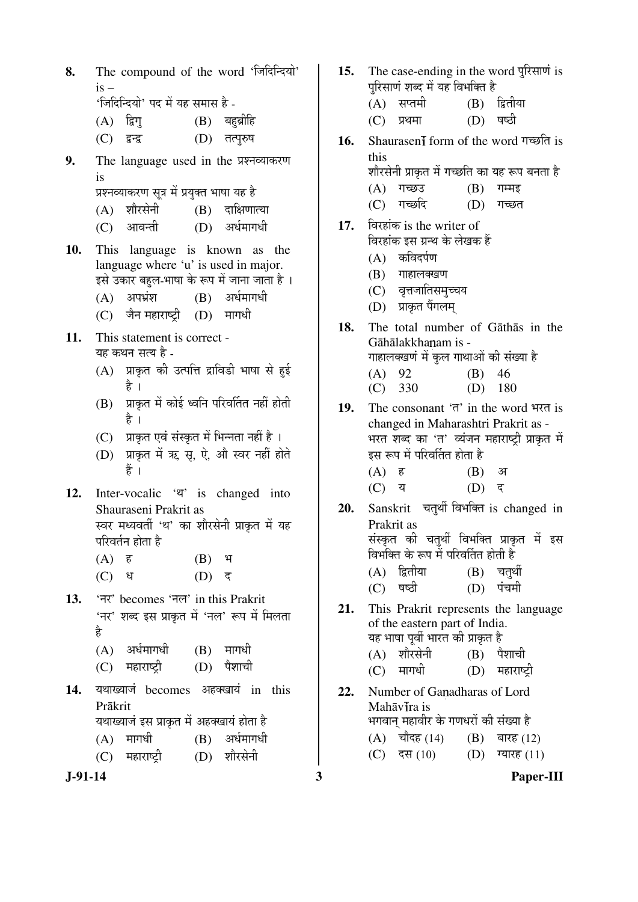- 8. The compound of the word 'जिदिन्दियो'  $i<sub>s</sub>$ 'जिदिन्दियो' पद में यह समास है -
	- $(A)$  द्विग्  $(B)$  बहुब्रीहि
	- (C) द्वन्द्व (D) तत्पुरुष
- 9. The language used in the प्रश्नव्याकरण is

प्रश्नव्याकरण सत्र में प्रयुक्त भाषा यह है

- (A) शौरसेनी (B) दाक्षिणात्या
- (C) आवन्ती (D) अर्धमागधी
- **10.** This language is known as the language where 'u' is used in major. इसे उकार बहल-भाषा के रूप में जाना जाता है ।
	- $(A)$  अपभ्रंश  $(B)$  अर्धमागधी
	- (C) जैन महाराष्ट्री (D) मागधी
- **11.** This statement is correct यह कथन सत्य है -
	- $(A)$  प्राकृत की उत्पत्ति द्राविडी भाषा से हई है ।
	- $(B)$  प्राकृत में कोई ध्वनि परिवर्तित नहीं होती हे ।
	- (C) प्राकृत एवं संस्कृत में भिन्नता नहीं है।
	- (D) प्राकृत में ऋ सू, ऐ, औ स्वर नहीं होते हैं ।
- **12.** Inter-vocalic '<sup> $\alpha$ </sup> is changed into Shauraseni Prakrit as स्वर मध्यवर्ती 'थ' का शौरसेनी प्राकृत में यह परिवर्तन होता है
	- $(A)$   $\overline{\epsilon}$   $(B)$   $\overline{q}$  $(C)$  ध  $(D)$  द
- 13. 'नर' becomes 'नल' in this Prakrit 'नर' शब्द इस प्राकृत में 'नल' रूप में मिलता Æîü
	- $(A)$  अर्धमागधी  $(B)$  मागधी
	- $(C)$  महाराष्ट्री  $(D)$  पैशाची
- **14.** यथाख्याजं becomes अहक्खायं in this Prākrit

यथाख्याजं इस प्राकृत में अहक्खायं होता है

- $(A)$  मागधी  $(B)$  अर्धमागधी
- (C) महाराष्ट्री (D) शौरसेनी

- **15.** The case-ending in the word परिसाण is परिसाणं शब्द में यह विभक्ति है
	- (A) सप्तमी (B) द्वितीया<br>(C) प्रथमा (D) षष्ठी  $(C)$  प्रथमा
- 16. Shaurasen form of the word गच्छति is this शौरसेनी प्राकृत में गच्छति का यह रूप बनता है  $(A)$  गच्छउ  $(B)$  गम्मइ (C) गच्छदि (D) गच्छत
- **17.** विरहांक is the writer of विरहांक इस ग्रन्थ के लेखक हैं
	- $(A)$  कविदर्पण
	- $(B)$  गाहालक्खण
	- $(C)$  वृत्तजातिसमच्चय
	- (D) प्राकृत पैंगलम
- **18.** The total number of Gāthās in the Gāhālakkhanam is -गाहालक्खणं में कुल गाथाओं की संख्या है (A) 92 (B) 46 (C) 330 (D) 180
- 19. The consonant 'त' in the word भरत is changed in Maharashtri Prakrit as - भरत शब्द का 'त' व्यंजन महाराष्ट्री प्राकृत में इस रूप में परिवर्तित होता है
	- $(A)$   $\bar{\epsilon}$  (B)  $\bar{A}$
	- $(C)$  य  $(D)$  द
- 20. Sanskrit चतुर्थी विभक्ति is changed in Prakrit as संस्कृत की चतर्थी विभक्ति प्राकृत में इस विभक्ति के रूप में परिवर्तित होती है  $(A)$  द्वितीया  $(B)$  चतर्थी (C) षष्ठी (D) पंचमी **21.** This Prakrit represents the language
- of the eastern part of India. यह भाषा पूर्वी भारत की प्राकृत है (A) शौरसेनी (B) पैशाची
	- (C) मागधी (D) महाराष्ट्री
- 22. Number of Ganadharas of Lord Mahāvira is भगवान् महावीर के गणधरों की संख्या है  $(A)$  चौदह (14)  $(B)$  बारह (12)
	- (C)  $\vec{\tau}$ स $(10)$  (D) ग्यारह $(11)$

**J-91-14 3 Paper-III**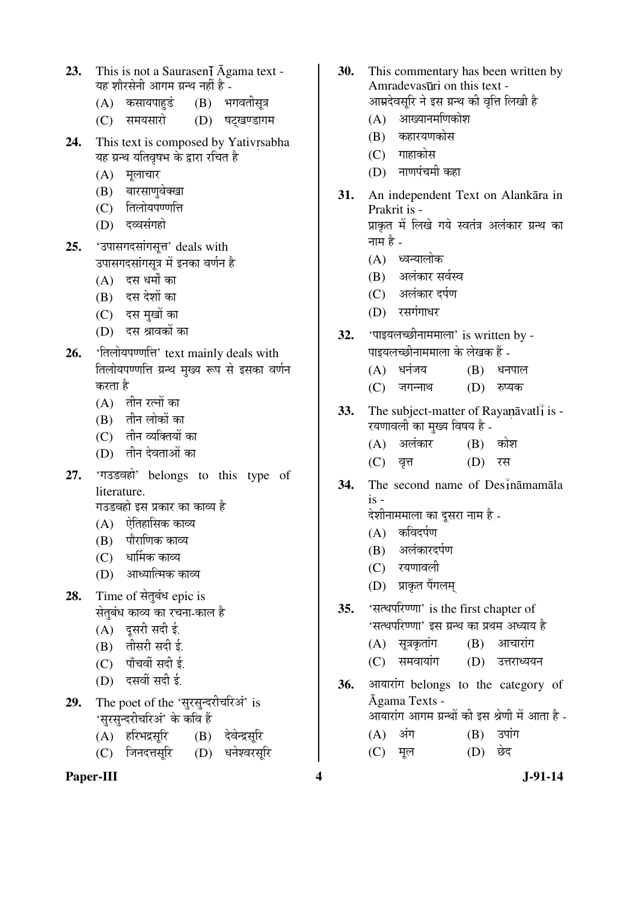- **23.** This is not a Saurasen I Agama text -यह शौरसेनी आगम ग्रन्थ नहीं है -
	- (A) कसायपाहडं (B) भगवतीसूत्र
	- (C) समयसारो (D) षट्खण्डागम
- 24. This text is composed by Yativ rsabha यह ग्रन्थ यतिवृषभ के द्वारा रचित है
	- $(A)$  मलाचार
	- (B) बारसाणवेक्खा
	- $(C)$  तिलोयपण्णत्ति
	- (D) दव्वसंगहो
- 25. 'उपासगदसांगसूत्त' deals with उपासगदसांगसूत्र में इनका वर्णन है
	- $(A)$  दस धर्मों का
	- (B) दस देशों का
	- (C) दस मुखों का
	- (D) दस श्रावकों का
- 26. 'तिलोयपण्णत्ति' text mainly deals with तिलोयपण्णत्ति ग्रन्थ मुख्य रूप से इसका वर्णन करता है
	- $(A)$  तीन रत्नों का
	- (B) तीन लोकों का
	- (C) तीन व्यक्तियों का
	- (D) तीन देवताओं का
- 27. 'गउडवहो' belongs to this type of literature. गउडवहो इस प्रकार का काव्य है
	- $(A)$  ऐतिहासिक काव्य
	- $(B)$  पौराणिक काव्य
	-
	- $(C)$  धार्मिक काव्य
	- (D) आध्यात्मिक काव्य
- 28. Time of सेतुबंध epic is सेतुबंध काव्य का रचना-काल है
	- $(A)$  दुसरी सदी ई.
	- $(B)$  तीसरी सदी ई.
	- (C) पाँचवीं सदी ई.
	- $(D)$  दसवीं सदी ई.
- 29. The poet of the 'सुरसुन्दरीचरिअं' is 'सुरसुन्दरीचरिअं' के कवि हैं
	- (A) हरिभद्रसुरि (B) देवेन्द्रसुरि
	- (C) जिनदत्तसरि (D) धनेश्वरसरि

## Paper-III **191-14**

- **30.** This commentary has been written by Amradevasūri on this text -आम्रदेवसुरि ने इस ग्रन्थ की वृत्ति लिखी है
	- $(A)$  आख्यानमणिकोश
	- (B) कहारयणकोस
	- $(C)$  गाहाकोस
	- (D) नाणपंचमी कहा
- **31.** An independent Text on Alankāra in Prakrit is - प्राकृत में लिखे गये स्वतंत्र अलंकार ग्रन्थ का नाम $\grave{\mathbf{r}}$  -
	- $(A)$  ध्वन्यालोक
	- $(B)$  अलंकार सर्वस्व
	- $(C)$  अलंकार दर्पण
	- (D) रसगंगाधर
- 32. 'पाइयलच्छीनाममाला' is written by -<u>पाइयलच्छीनाममाला के लेखक हैं -</u>
	- $(A)$  धनंजय  $(B)$  धनपाल
	- $(C)$  जगन्नाथ  $(D)$  रुप्यक
- **33.** The subject-matter of Rayanavatl $\overline{1}$  is -रयणावली का मुख्य विषय है -
	- (A) अलंकार (B) कोश (C) वृत्त (D) रस
- **34.** The second name of Desinamamala
- is देशीनाममाला का दुसरा नाम है -
	- $(A)$  कविदर्पण
	- (B) अलंकारदर्पण
	- (C) रयणावली
	- (D) प्राकृत पैंगलम
- 35. 'सत्थपरिण्णा' is the first chapter of 'सत्थपरिण्णा' इस ग्रन्थ का प्रथम अध्याय है
	- $(A)$  सत्रकृतांग  $(B)$  आचारांग
	- (C) समवायांग (D) उत्तराध्ययन
- **36.**  $\delta$   $\delta$   $\delta$   $\delta$  alleings to the category of Āgama Texts - आयारांग आगम ग्रन्थों की इस श्रेणी में आता है -
	- $(A)$  अंग  $(B)$  उपांग
	- (C) मूल (D) छेद
-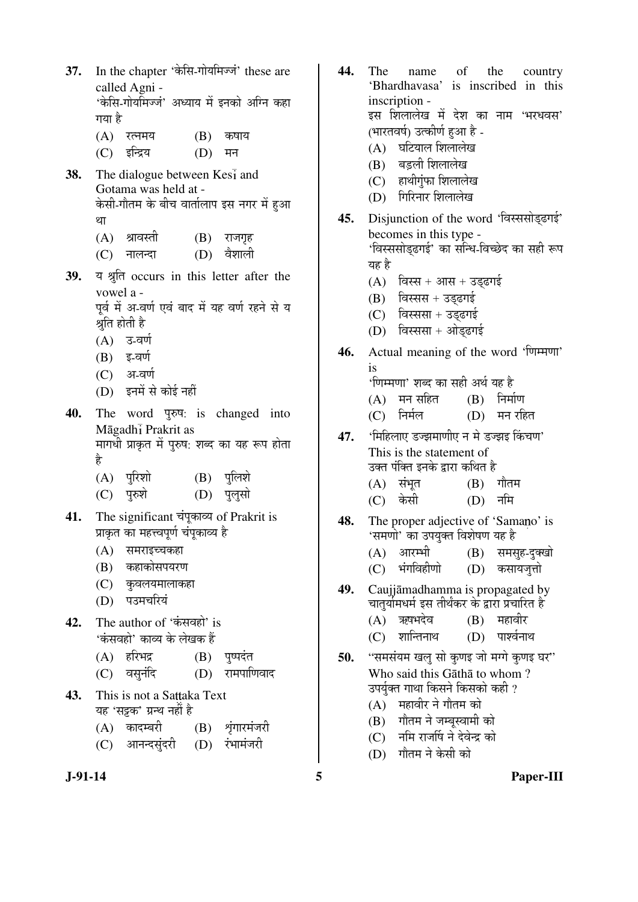- **J-91-14 5 Paper-III** 37. In the chapter 'केसि-गोयमिज्जं' these are called Agni - 'केसि-गोयमिज्जं' अध्याय में इनको अग्नि कहा गया है  $(A)$  रत्नमय  $(B)$  कषाय (C) इन्द्रिय (D) मन **38.** The dialogue between Kes<sup>1</sup> and Gotama was held at - केसी-गौतम के बीच वार्तालाप इस नगर में हुआ था (A) श्रावस्ती (B) राजगृह  $(C)$  नालन्दा $(D)$  वैशाली **39.** य श्रति occurs in this letter after the vowel a - पूर्व में अ-वर्ण एवं बाद में यह वर्ण रहने से य श्रति होती है  $(A)$  उ-वर्ण  $(B)$  इ-वर्ण (C) अ-वर्ण (D) इनमें से कोई नहीं **40.** The word पुरुष: is changed into Māgadhi Prakrit as मागधी प्राकृत में पुरुष: शब्द का यह रूप होता है  $(A)$  परिशो $(B)$  पुलिशे (C) पुरुशे (D) पलसो **41.** The significant चंपूकाव्य of Prakrit is प्राकृत का महत्त्वपूर्ण चंपुकाव्य है  $(A)$  समराइच्चकहा (B) कहाकोसपयरण (C) कवलयमालाकहा (D) पउमचरियं **42.** The author of 'कंसवहो' is 'कंसवहो' काव्य के लेखक हैं (A) हरिभद्र (B) पृष्पदंत (C) वसुनंदि (D) रामपाणिवाद **43.** This is not a Sattaka Text यह 'सड़क' ग्रन्थ नहीं है (A) कादम्बरी (B) श्रृंगारमंजरी (C) आनन्दसंदरी (D) रंभामंजरी
- **44.** The name of the country 'Bhardhavasa' is inscribed in this inscription - इस शिलालेख में देश का नाम 'भरधवस' (भारतवर्ष) उत्कीर्ण हुआ है - $(A)$  घटियाल शिलालेख (B) बडली शिलालेख  $(C)$  हाथीगुंफा शिलालेख  $(D)$  गिरिनार शिलालेख **45.** Disjunction of the word 'विस्ससोडढगई' becomes in this type - 'विस्ससोडढगई' का सन्धि-विच्छेद का सही रूप यह है  $(A)$  axe +  $\overline{3}$  axe +  $\overline{3}$   $\overline{3}$  $(B)$  aिस्सस + उडढगई  $(C)$  aिस्ससा + उडढगई  $(D)$  विस्ससा + ओड़ढगई **46.** Actual meaning of the word 'णिम्मणा' is 'णिम्मणा' शब्द का सही अर्थ यह है  $(A)$  मन सहित  $(B)$  निर्माण (C) निर्मल (D) मन रहित 47. 'मिहिलाए डज्झमाणीए न मे डज्झइ किंचण' This is the statement of उक्त पंक्ति इनके द्रारा कथित है  $(A)$  संभूत  $(B)$  गौतम (C) केसी (D) नमि **48.** The proper adjective of 'Samano' is 'समणो' का उपयुक्त विशेषण यह है  $(A)$  आरम्भी  $(B)$  समसह-दक्खो (C) भंगविहीणो (D) कसायजृत्तो **49.** Caujjāmadhamma is propagated by चातुर्यामधर्म इस तीर्थंकर के द्वारा प्रचारित है (A) ऋषभदेव (B) महावीर  $(C)$  शान्तिनाथ  $(D)$  पार्श्वनाथ 50. **"समसंयम खल सो कणइ जो मग्गे कणइ घर"** Who said this Gāthā to whom ? उपर्यक्त गाथा किसने किसको कही ?  $(A)$  महावीर ने गौतम को (B) गौतम ने जम्बस्वामी को (C) नमि राजर्षि ने देवेन्द्र को  $(D)$ ाौतम ने केसी को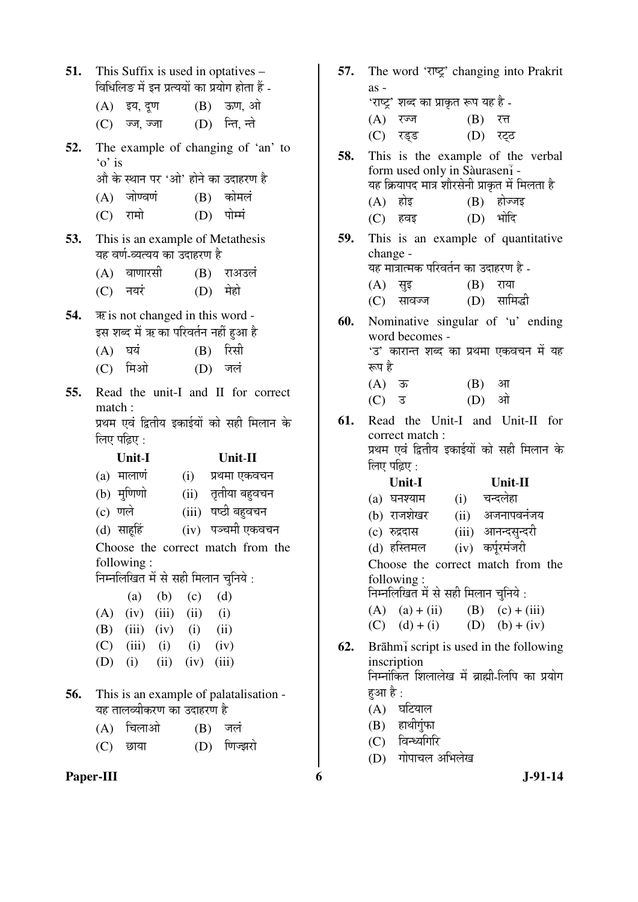| 51.<br>52. | This Suffix is used in optatives –<br>विधिलिङ में इन प्रत्ययों का प्रयोग होता हैं -<br>(B) ऊण, ओ<br>$(A)$ इय, दूण<br>न्ति, न्ते<br>ज्ज, ज्जा<br>(D)<br>(C)<br>The example of changing of 'an' to                                                                                                                                                                                                                                                                                                                                                                           | 57.        | The word 'राष्ट्र' changing into Prakrit<br>$as -$<br>'राष्ट्र' शब्द का प्राकृत रूप यह है -<br>(B)<br>(A)<br>रज्ज<br>रत्त<br>(D)<br>(C)<br>रट्ठ<br>रड्ड                                                                                                                                                                                                                                                                                                                                                                                                                                                                        |
|------------|----------------------------------------------------------------------------------------------------------------------------------------------------------------------------------------------------------------------------------------------------------------------------------------------------------------------------------------------------------------------------------------------------------------------------------------------------------------------------------------------------------------------------------------------------------------------------|------------|--------------------------------------------------------------------------------------------------------------------------------------------------------------------------------------------------------------------------------------------------------------------------------------------------------------------------------------------------------------------------------------------------------------------------------------------------------------------------------------------------------------------------------------------------------------------------------------------------------------------------------|
|            | $\alpha$ is<br>ओं के स्थान पर 'ओ' होने का उदाहरण है<br>जोण्वणं<br>कोमलं<br>(B)<br>(A)<br>पोम्मं<br>रामो<br>(C)<br>(D)                                                                                                                                                                                                                                                                                                                                                                                                                                                      | 58.        | This is the example of the verbal<br>form used only in Sàuraseni -<br>यह क्रियापद मात्र शौरसेनी प्राकृत में मिलता है<br>होइ<br>होज्जइ<br>(B)<br>(A)<br>भोदि<br>(C)<br>(D)<br>हवइ                                                                                                                                                                                                                                                                                                                                                                                                                                               |
| 53.        | This is an example of Metathesis<br>यह वर्ण-व्यत्यय का उदाहरण है<br>वाणारसी<br>(B) राअउलं<br>(A)<br>मेहो<br>नयरं<br>(C)<br>(D)                                                                                                                                                                                                                                                                                                                                                                                                                                             | 59.        | This is an example of quantitative<br>change -<br>यह मात्रात्मक परिवर्तन का उदाहरण है -<br>(B)<br>राया<br>$(A)$ सुइ<br>सामिद्धी<br>(D)<br>(C)<br>सावज्ज                                                                                                                                                                                                                                                                                                                                                                                                                                                                        |
| 54.        | $\overline{\mathcal{R}}$ is not changed in this word -<br>इस शब्द में ऋ का परिवर्तन नहीं हुआ है<br>रिसी<br>$(A)$ घयं<br>(B)<br>मिओ<br>(C)<br>(D)<br>जलं                                                                                                                                                                                                                                                                                                                                                                                                                    | 60.        | Nominative singular of 'u' ending<br>word becomes -<br>'उ' कारान्त शब्द का प्रथमा एकवचन में यह<br>रूप है                                                                                                                                                                                                                                                                                                                                                                                                                                                                                                                       |
| 55.        | Read the unit-I and II for correct<br>match:<br>प्रथम एवं द्वितीय इकाईयों को सही मिलान के<br>लिए पढ़िए :<br>Unit-I<br>Unit-II<br>$(a)$ मालाणं<br>(i)<br>प्रथमा एकवचन<br>(b) मुणिणो<br>तृतीया बहुवचन<br>(ii)<br>षष्ठी बहुवचन<br>$(c)$ णले<br>(iii)<br>पञ्चमी एकवचन<br>(d) साहूहिं<br>(iv)<br>Choose the correct match from the<br>following:<br>निम्नलिखित में से सही मिलान चुनिये :<br>(a)<br>(b)<br>(c)<br>(d)<br>(iii)<br>(ii)<br>(i)<br>(A)<br>(iv)<br>(B)<br>(iii)<br>(iv)<br>(i)<br>(ii)<br>(C)<br>(iii)<br>(i)<br>(i)<br>(iv)<br>(ii)<br>(D)<br>(i)<br>(iv)<br>(iii) | 61.<br>62. | $(A)$ ऊ<br>(B)<br>आ<br>ओ<br>(C)<br>(D)<br>उ<br>Read the Unit-I and Unit-II for<br>correct match:<br>प्रथम एवं द्वितीय इकाईयों को सही मिलान के<br>लिए पढ़िए :<br>Unit-I<br>Unit-II<br>चन्दलेहा<br>$(a)$ घनश्याम<br>(i)<br>(b) राजशेखर<br>अजनापवनंजय<br>(ii)<br>आनन्दसुन्दरी<br>(iii)<br>(c) रुद्रदास<br>(iv) कर्पूरमंजरी<br>(d) हरितमल<br>Choose the correct match from the<br>following:<br>निम्नलिखित में से सही मिलान चुनिये :<br>(B) $(c) + (iii)$<br>(A) $(a) + (ii)$<br>(D) $(b) + (iv)$<br>(C)<br>$(d) + (i)$<br>Brāhmi script is used in the following<br>inscription<br>निम्नांकित शिलालेख में ब्राह्मी-लिपि का प्रयोग |
| 56.        | This is an example of palatalisation -<br>यह तालव्यीकरण का उदाहरण है<br>चिलाओ<br>(B)<br>(A)<br>जलं<br>णिज्झरो<br>(C)<br>(D)<br>छाया                                                                                                                                                                                                                                                                                                                                                                                                                                        |            | हुआ है :<br>घटियाल<br>(A)<br>हाथीगुंफा<br>(B)<br>विन्ध्यगिरि<br>(C)<br>गोपाचल अभिलेख<br>(D)                                                                                                                                                                                                                                                                                                                                                                                                                                                                                                                                    |
|            | Paper-III                                                                                                                                                                                                                                                                                                                                                                                                                                                                                                                                                                  | 6          | $J-91-14$                                                                                                                                                                                                                                                                                                                                                                                                                                                                                                                                                                                                                      |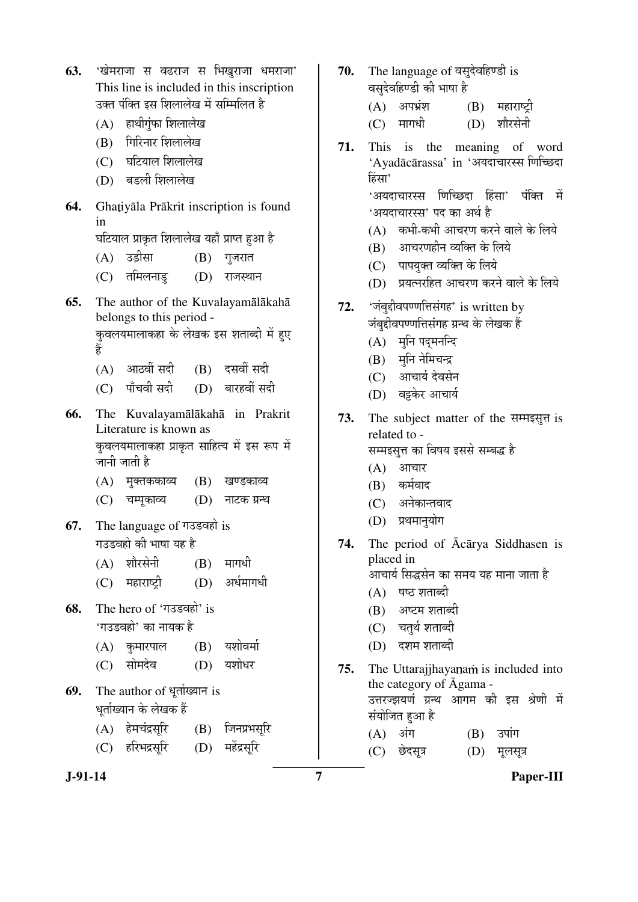| 63. 'खेमराजा स वढराज स भिखुराजा धमराजा'   |  |  |  |
|-------------------------------------------|--|--|--|
| This line is included in this inscription |  |  |  |
| उक्त पंक्ति इस शिलालेख में सम्मिलित है    |  |  |  |

- $(A)$  हाथीगूंफा शिलालेख
- $(B)$  गिरिनार शिलालेख
- $(C)$  घटियाल शिलालेख
- $(D)$  बडली शिलालेख
- **64.** Ghatiyāla Prākrit inscription is found in

घटियाल प्राकृत शिलालेख यहाँ प्राप्त हुआ है

- (A) उडीसा (B) गजरात
- (C) तमिलनाड (D) राजस्थान
- **65.** The author of the Kuvalayamālākahā belongs to this period - कुवलयमालाकहा के लेखक इस शताब्दी में हुए Æïü
	- $(A)$  आठवीं सदी  $(B)$  दसवीं सदी
	- $(C)$  पाँचवी सदी $(D)$  बारहवीं सदी
- **66.** The Kuvalayamālākahā in Prakrit Literature is known as कुवलयमालाकहा प्राकृत साहित्य में इस रूप में जानी जाती है
	- $(A)$  मुक्तककाव्य  $(B)$  खण्डकाव्य
	- $(C)$  चम्पकाव्य $(D)$  नाटक ग्रन्थ
- **67.** The language of गउडवहो is गउडवहो की भाषा यह है
	- $(A)$  शौरसेनी  $(B)$  मागधी
	- $(C)$  महाराष्टी  $(D)$  अर्धमागधी
- **68.** The hero of 'गउडवहो' is 'गउडवहो' का नायक है
	- (A) कमारपाल (B) यशोवर्मा
	- (C) सोमदेव (D) यशोधर
- **69.** The author of धूर्ताख्यान is धर्ताख्यान के लेखक हैं
	- (A) हेमचंद्रसुरि (B) जिनप्रभसुरि
	- (C) हरिभद्रसुरि (D) महेंद्रसुरि
- 70. The language of वसुदेवहिण्डी is वसदेवहिण्डी की भाषा है
	- $(A)$  अपभ्रंश  $(B)$  महाराष्ट्री (C) मागधी (D) शौरसेनी
- **71.** This is the meaning of word 'Ayadācārassa' in 'अयदाचारस्स णिच्छिदा हिंसा' 'अयदाचारस्स णिच्छिदा हिंसा' पंक्ति में 'अयदाचारस्स' पद का अर्थ है
	- $(A)$  कभी-कभी आचरण करने वाले के लिये
	- $(B)$  आचरणहीन व्यक्ति के लिये
	- (C) पापयक्त व्यक्ति के लिये
	- $(D)$  प्रयत्नरहित आचरण करने वाले के लिये
- 72. 'जंबद्दीवपण्णत्तिसंगह' is written by जंबद्दीवपण्णत्तिसंगह ग्रन्थ के लेखक हैं
	- $(A)$  मनि पदमनन्दि
	- $(B)$  मनि नेमिचन्द्र
	- (C) आचार्य देवसेन
	- (D) वड़केर आचार्य
- 73. The subject matter of the सम्मइसुत्त is related to -

सम्मइसुत्त का विषय इससे सम्बद्ध है

- $(A)$  आचार
- $(B)$  कर्मवाद
- $(C)$  अनेकान्तवाद
- (D) प्रथमानयोग
- **74.** The period of Ācārya Siddhasen is placed in आचार्य सिद्धसेन का समय यह माना जाता है
	- $(A)$  षष्ठ शताब्दी
	- $(B)$  अष्टम शताब्दी
	- $(C)$  चतर्थ शताब्दी
	- $(D)$  दशम शताब्दी
- **75.** The Uttarajihaya namis included into the category of Āgama - उत्तरज्झयणं ग्रन्थ आगम की इस श्रेणी में संयोजित हुआ है

 $(A)$  अंग  $(B)$  उपांग

- (C) छेदसत्र (D) मलसत्र
- 

**J-91-14 7 Paper-III**